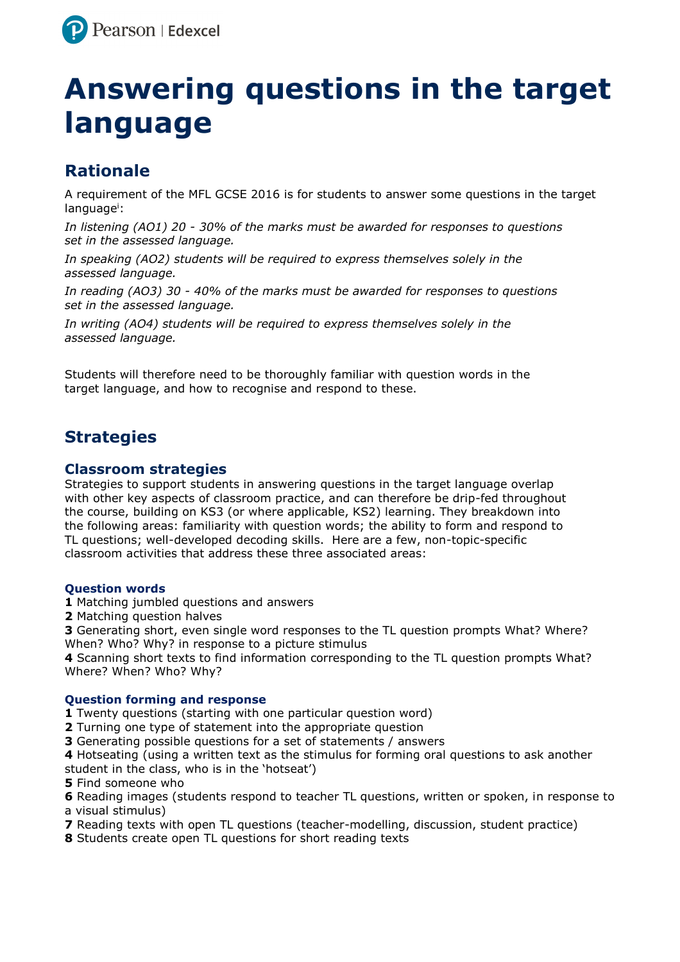

# **Answering questions in the target language**

## **Rationale**

A requirement of the MFL GCSE 2016 is for students to answer some questions in the target language<sup>i</sup>:

*In listening (AO1) 20 - 30% of the marks must be awarded for responses to questions set in the assessed language.* 

*In speaking (AO2) students will be required to express themselves solely in the assessed language.* 

*In reading (AO3) 30 - 40% of the marks must be awarded for responses to questions set in the assessed language.* 

In writing (AO4) students will be required to express themselves solely in the *assessed language.* 

Students will therefore need to be thoroughly familiar with question words in the target language, and how to recognise and respond to these.

## **Strategies**

### **Classroom strategies**

Strategies to support students in answering questions in the target language overlap with other key aspects of classroom practice, and can therefore be drip-fed throughout the course, building on KS3 (or where applicable, KS2) learning. They breakdown into the following areas: familiarity with question words; the ability to form and respond to TL questions; well-developed decoding skills. Here are a few, non-topic-specific classroom activities that address these three associated areas:

#### **Question words**

- **1** Matching jumbled questions and answers
- **2** Matching question halves

**3** Generating short, even single word responses to the TL question prompts What? Where? When? Who? Why? in response to a picture stimulus

**4** Scanning short texts to find information corresponding to the TL question prompts What? Where? When? Who? Why?

#### **Question forming and response**

- **1** Twenty questions (starting with one particular question word)
- **2** Turning one type of statement into the appropriate question
- **3** Generating possible questions for a set of statements / answers

**4** Hotseating (using a written text as the stimulus for forming oral questions to ask another student in the class, who is in the 'hotseat')

**5** Find someone who

**6** Reading images (students respond to teacher TL questions, written or spoken, in response to a visual stimulus)

- **7** Reading texts with open TL questions (teacher-modelling, discussion, student practice)
- **8** Students create open TL questions for short reading texts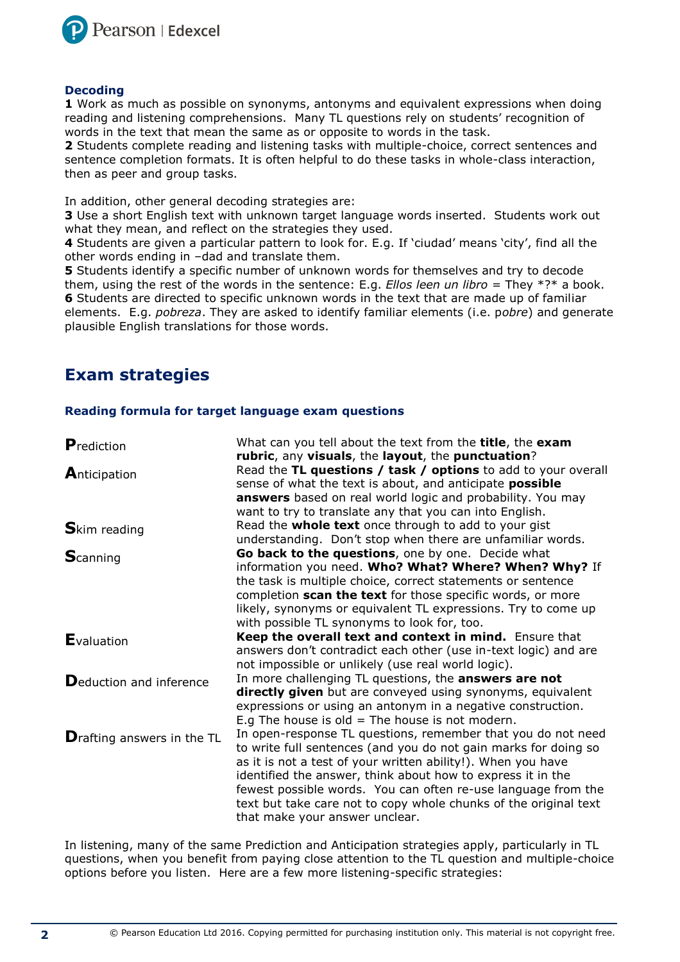

#### **Decoding**

**1** Work as much as possible on synonyms, antonyms and equivalent expressions when doing reading and listening comprehensions. Many TL questions rely on students' recognition of words in the text that mean the same as or opposite to words in the task.

**2** Students complete reading and listening tasks with multiple-choice, correct sentences and sentence completion formats. It is often helpful to do these tasks in whole-class interaction, then as peer and group tasks.

In addition, other general decoding strategies are:

**3** Use a short English text with unknown target language words inserted. Students work out what they mean, and reflect on the strategies they used.

**4** Students are given a particular pattern to look for. E.g. If 'ciudad' means 'city', find all the other words ending in –dad and translate them.

**5** Students identify a specific number of unknown words for themselves and try to decode them, using the rest of the words in the sentence: E.g. *Ellos leen un libro* = They \*?\* a book. **6** Students are directed to specific unknown words in the text that are made up of familiar elements. E.g. *pobreza*. They are asked to identify familiar elements (i.e. p*obre*) and generate plausible English translations for those words.

## **Exam strategies**

#### **Reading formula for target language exam questions**

| Prediction                         | What can you tell about the text from the <b>title</b> , the <b>exam</b>                                                  |
|------------------------------------|---------------------------------------------------------------------------------------------------------------------------|
|                                    | rubric, any visuals, the layout, the punctuation?<br>Read the TL questions / task / options to add to your overall        |
| Anticipation                       | sense of what the text is about, and anticipate <b>possible</b>                                                           |
|                                    | answers based on real world logic and probability. You may                                                                |
|                                    | want to try to translate any that you can into English.                                                                   |
| <b>S</b> kim reading               | Read the <b>whole text</b> once through to add to your gist                                                               |
|                                    | understanding. Don't stop when there are unfamiliar words.                                                                |
| <b>S</b> canning                   | Go back to the questions, one by one. Decide what                                                                         |
|                                    | information you need. Who? What? Where? When? Why? If                                                                     |
|                                    | the task is multiple choice, correct statements or sentence<br>completion scan the text for those specific words, or more |
|                                    | likely, synonyms or equivalent TL expressions. Try to come up                                                             |
|                                    | with possible TL synonyms to look for, too.                                                                               |
|                                    | Keep the overall text and context in mind. Ensure that                                                                    |
| <b>E</b> valuation                 | answers don't contradict each other (use in-text logic) and are                                                           |
|                                    | not impossible or unlikely (use real world logic).                                                                        |
| Deduction and inference            | In more challenging TL questions, the <b>answers are not</b>                                                              |
|                                    | directly given but are conveyed using synonyms, equivalent                                                                |
|                                    | expressions or using an antonym in a negative construction.                                                               |
|                                    | E.g The house is old $=$ The house is not modern.                                                                         |
| <b>D</b> rafting answers in the TL | In open-response TL questions, remember that you do not need                                                              |
|                                    |                                                                                                                           |
|                                    | to write full sentences (and you do not gain marks for doing so                                                           |
|                                    | as it is not a test of your written ability!). When you have                                                              |
|                                    | identified the answer, think about how to express it in the                                                               |
|                                    | fewest possible words. You can often re-use language from the                                                             |
|                                    | text but take care not to copy whole chunks of the original text<br>that make your answer unclear.                        |

In listening, many of the same Prediction and Anticipation strategies apply, particularly in TL questions, when you benefit from paying close attention to the TL question and multiple-choice options before you listen. Here are a few more listening-specific strategies: